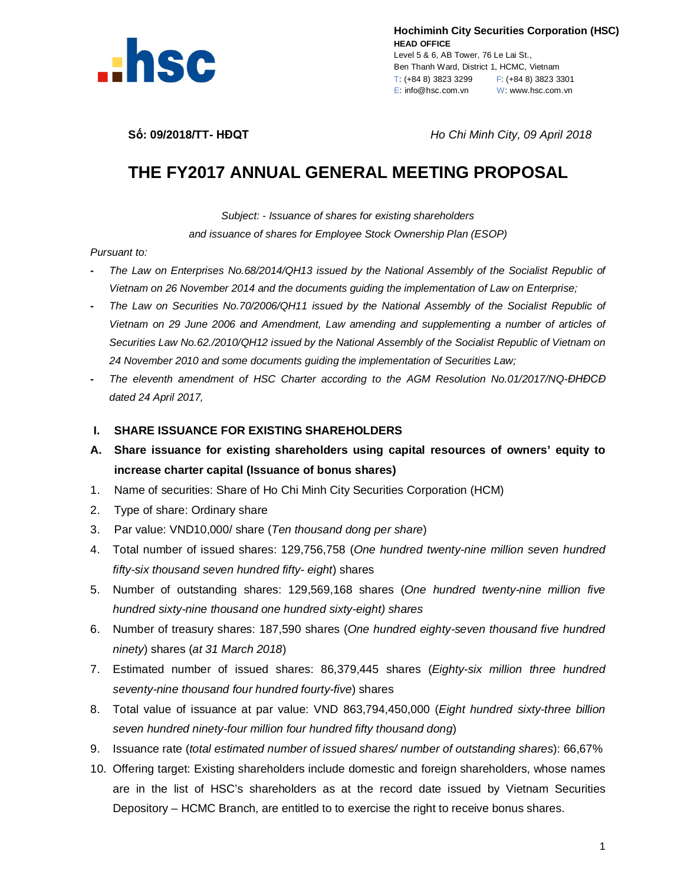

**Hochiminh City Securities Corporation (HSC) HEAD OFFICE** Level 5 & 6, AB Tower, 76 Le Lai St., Ben Thanh Ward, District 1, HCMC, Vietnam T: (+84 8) 3823 3299 F: (+84 8) 3823 3301 E: info@hsc.com.vn W: www.hsc.com.vn

**Số: 09/2018/TT- HĐQT** *Ho Chi Minh City, 09 April 2018*

# **THE FY2017 ANNUAL GENERAL MEETING PROPOSAL**

*Subject: - Issuance of shares for existing shareholders*

*and issuance of shares for Employee Stock Ownership Plan (ESOP)*

#### *Pursuant to:*

- **-** *The Law on Enterprises No.68/2014/QH13 issued by the National Assembly of the Socialist Republic of Vietnam on 26 November 2014 and the documents guiding the implementation of Law on Enterprise;*
- **-** *The Law on Securities No.70/2006/QH11 issued by the National Assembly of the Socialist Republic of Vietnam on 29 June 2006 and Amendment, Law amending and supplementing a number of articles of Securities Law No.62./2010/QH12 issued by the National Assembly of the Socialist Republic of Vietnam on 24 November 2010 and some documents guiding the implementation of Securities Law;*
- **-** *The eleventh amendment of HSC Charter according to the AGM Resolution No.01/2017/NQ-ĐHĐCĐ dated 24 April 2017,*

### **I. SHARE ISSUANCE FOR EXISTING SHAREHOLDERS**

- **A. Share issuance for existing shareholders using capital resources of owners' equity to increase charter capital (Issuance of bonus shares)**
- 1. Name of securities: Share of Ho Chi Minh City Securities Corporation (HCM)
- 2. Type of share: Ordinary share
- 3. Par value: VND10,000/ share (*Ten thousand dong per share*)
- 4. Total number of issued shares: 129,756,758 (*One hundred twenty-nine million seven hundred fifty-six thousand seven hundred fifty- eight*) shares
- 5. Number of outstanding shares: 129,569,168 shares (*One hundred twenty-nine million five hundred sixty-nine thousand one hundred sixty-eight) shares*
- 6. Number of treasury shares: 187,590 shares (*One hundred eighty-seven thousand five hundred ninety*) shares (*at 31 March 2018*)
- 7. Estimated number of issued shares: 86,379,445 shares (*Eighty-six million three hundred seventy-nine thousand four hundred fourty-five*) shares
- 8. Total value of issuance at par value: VND 863,794,450,000 (*Eight hundred sixty-three billion seven hundred ninety-four million four hundred fifty thousand dong*)
- 9. Issuance rate (*total estimated number of issued shares/ number of outstanding shares*): 66,67%
- 10. Offering target: Existing shareholders include domestic and foreign shareholders, whose names are in the list of HSC's shareholders as at the record date issued by Vietnam Securities Depository – HCMC Branch, are entitled to to exercise the right to receive bonus shares.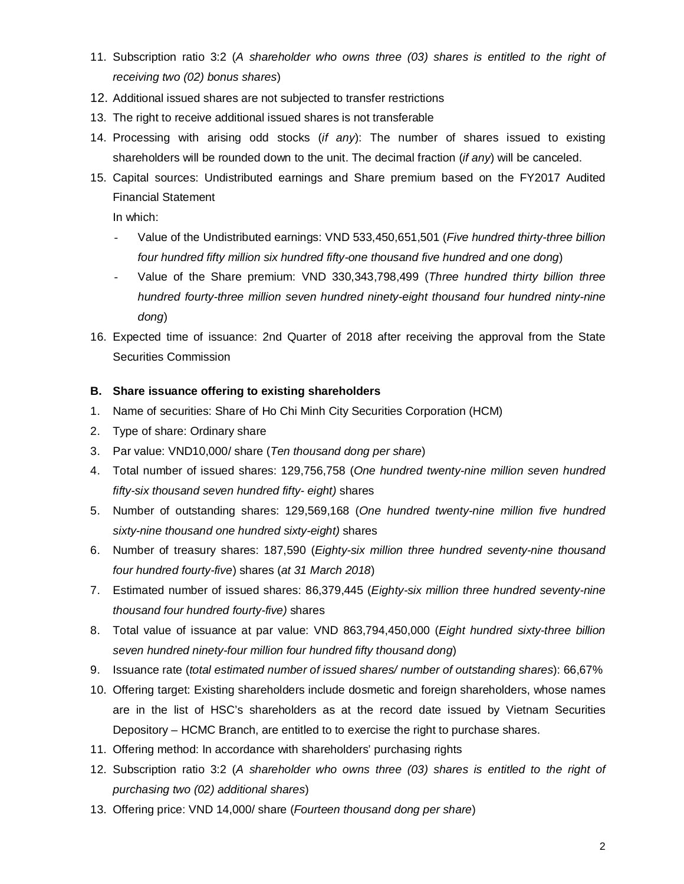- 11. Subscription ratio 3:2 (*A shareholder who owns three (03) shares is entitled to the right of receiving two (02) bonus shares*)
- 12. Additional issued shares are not subjected to transfer restrictions
- 13. The right to receive additional issued shares is not transferable
- 14. Processing with arising odd stocks (*if any*): The number of shares issued to existing shareholders will be rounded down to the unit. The decimal fraction (*if any*) will be canceled.
- 15. Capital sources: Undistributed earnings and Share premium based on the FY2017 Audited Financial Statement

In which:

- Value of the Undistributed earnings: VND 533,450,651,501 (*Five hundred thirty-three billion four hundred fifty million six hundred fifty-one thousand five hundred and one dong*)
- Value of the Share premium: VND 330,343,798,499 (*Three hundred thirty billion three hundred fourty-three million seven hundred ninety-eight thousand four hundred ninty-nine dong*)
- 16. Expected time of issuance: 2nd Quarter of 2018 after receiving the approval from the State Securities Commission

## **B. Share issuance offering to existing shareholders**

- 1. Name of securities: Share of Ho Chi Minh City Securities Corporation (HCM)
- 2. Type of share: Ordinary share
- 3. Par value: VND10,000/ share (*Ten thousand dong per share*)
- 4. Total number of issued shares: 129,756,758 (*One hundred twenty-nine million seven hundred fifty-six thousand seven hundred fifty- eight)* shares
- 5. Number of outstanding shares: 129,569,168 (*One hundred twenty-nine million five hundred sixty-nine thousand one hundred sixty-eight)* shares
- 6. Number of treasury shares: 187,590 (*Eighty-six million three hundred seventy-nine thousand four hundred fourty-five*) shares (*at 31 March 2018*)
- 7. Estimated number of issued shares: 86,379,445 (*Eighty-six million three hundred seventy-nine thousand four hundred fourty-five)* shares
- 8. Total value of issuance at par value: VND 863,794,450,000 (*Eight hundred sixty-three billion seven hundred ninety-four million four hundred fifty thousand dong*)
- 9. Issuance rate (*total estimated number of issued shares/ number of outstanding shares*): 66,67%
- 10. Offering target: Existing shareholders include dosmetic and foreign shareholders, whose names are in the list of HSC's shareholders as at the record date issued by Vietnam Securities Depository – HCMC Branch, are entitled to to exercise the right to purchase shares.
- 11. Offering method: In accordance with shareholders' purchasing rights
- 12. Subscription ratio 3:2 (*A shareholder who owns three (03) shares is entitled to the right of purchasing two (02) additional shares*)
- 13. Offering price: VND 14,000/ share (*Fourteen thousand dong per share*)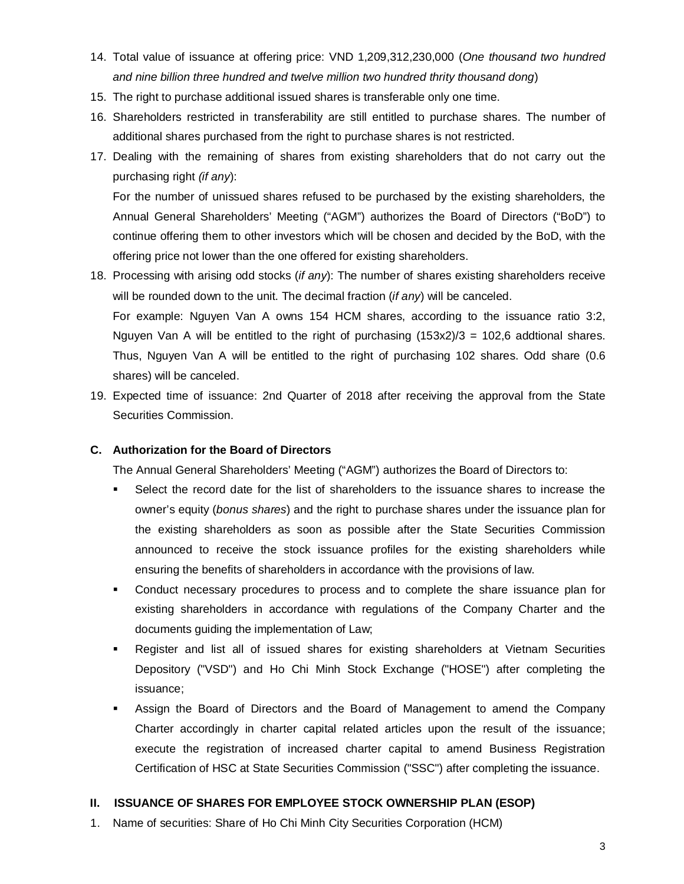- 14. Total value of issuance at offering price: VND 1,209,312,230,000 (*One thousand two hundred and nine billion three hundred and twelve million two hundred thrity thousand dong*)
- 15. The right to purchase additional issued shares is transferable only one time.
- 16. Shareholders restricted in transferability are still entitled to purchase shares. The number of additional shares purchased from the right to purchase shares is not restricted.
- 17. Dealing with the remaining of shares from existing shareholders that do not carry out the purchasing right *(if any*):

For the number of unissued shares refused to be purchased by the existing shareholders, the Annual General Shareholders' Meeting ("AGM") authorizes the Board of Directors ("BoD") to continue offering them to other investors which will be chosen and decided by the BoD, with the offering price not lower than the one offered for existing shareholders.

- 18. Processing with arising odd stocks (*if any*): The number of shares existing shareholders receive will be rounded down to the unit. The decimal fraction (*if any*) will be canceled. For example: Nguyen Van A owns 154 HCM shares, according to the issuance ratio 3:2, Nguyen Van A will be entitled to the right of purchasing  $(153x2)/3 = 102,6$  addtional shares. Thus, Nguyen Van A will be entitled to the right of purchasing 102 shares. Odd share (0.6
- 19. Expected time of issuance: 2nd Quarter of 2018 after receiving the approval from the State Securities Commission.

## **C. Authorization for the Board of Directors**

shares) will be canceled.

The Annual General Shareholders' Meeting ("AGM") authorizes the Board of Directors to:

- Select the record date for the list of shareholders to the issuance shares to increase the owner's equity (*bonus shares*) and the right to purchase shares under the issuance plan for the existing shareholders as soon as possible after the State Securities Commission announced to receive the stock issuance profiles for the existing shareholders while ensuring the benefits of shareholders in accordance with the provisions of law.
- Conduct necessary procedures to process and to complete the share issuance plan for existing shareholders in accordance with regulations of the Company Charter and the documents guiding the implementation of Law;
- Register and list all of issued shares for existing shareholders at Vietnam Securities Depository ("VSD") and Ho Chi Minh Stock Exchange ("HOSE") after completing the issuance;
- Assign the Board of Directors and the Board of Management to amend the Company Charter accordingly in charter capital related articles upon the result of the issuance; execute the registration of increased charter capital to amend Business Registration Certification of HSC at State Securities Commission ("SSC") after completing the issuance.

### **II. ISSUANCE OF SHARES FOR EMPLOYEE STOCK OWNERSHIP PLAN (ESOP)**

1. Name of securities: Share of Ho Chi Minh City Securities Corporation (HCM)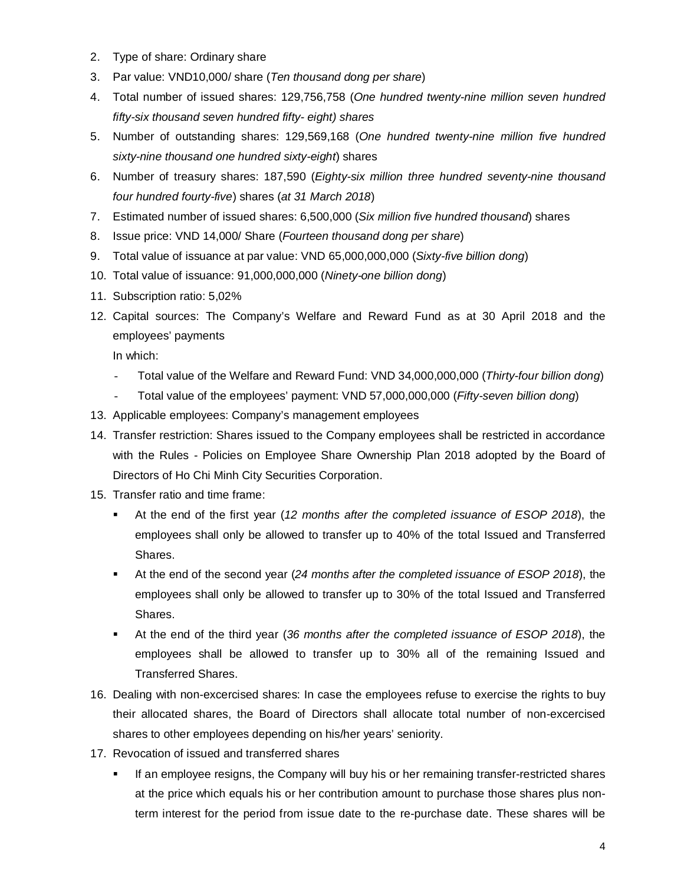- 2. Type of share: Ordinary share
- 3. Par value: VND10,000/ share (*Ten thousand dong per share*)
- 4. Total number of issued shares: 129,756,758 (*One hundred twenty-nine million seven hundred fifty-six thousand seven hundred fifty- eight) shares*
- 5. Number of outstanding shares: 129,569,168 (*One hundred twenty-nine million five hundred sixty-nine thousand one hundred sixty-eight*) shares
- 6. Number of treasury shares: 187,590 (*Eighty-six million three hundred seventy-nine thousand four hundred fourty-five*) shares (*at 31 March 2018*)
- 7. Estimated number of issued shares: 6,500,000 (*Six million five hundred thousand*) shares
- 8. Issue price: VND 14,000/ Share (*Fourteen thousand dong per share*)
- 9. Total value of issuance at par value: VND 65,000,000,000 (*Sixty-five billion dong*)
- 10. Total value of issuance: 91,000,000,000 (*Ninety-one billion dong*)
- 11. Subscription ratio: 5,02%
- 12. Capital sources: The Company's Welfare and Reward Fund as at 30 April 2018 and the employees' payments

In which:

- Total value of the Welfare and Reward Fund: VND 34,000,000,000 (*Thirty-four billion dong*)
- Total value of the employees' payment: VND 57,000,000,000 (*Fifty-seven billion dong*)
- 13. Applicable employees: Company's management employees
- 14. Transfer restriction: Shares issued to the Company employees shall be restricted in accordance with the Rules - Policies on Employee Share Ownership Plan 2018 adopted by the Board of Directors of Ho Chi Minh City Securities Corporation.
- 15. Transfer ratio and time frame:
	- At the end of the first year (*12 months after the completed issuance of ESOP 2018*), the employees shall only be allowed to transfer up to 40% of the total Issued and Transferred Shares.
	- At the end of the second year (*24 months after the completed issuance of ESOP 2018*), the employees shall only be allowed to transfer up to 30% of the total Issued and Transferred Shares.
	- At the end of the third year (*36 months after the completed issuance of ESOP 2018*), the employees shall be allowed to transfer up to 30% all of the remaining Issued and Transferred Shares.
- 16. Dealing with non-excercised shares: In case the employees refuse to exercise the rights to buy their allocated shares, the Board of Directors shall allocate total number of non-excercised shares to other employees depending on his/her years' seniority.
- 17. Revocation of issued and transferred shares
	- If an employee resigns, the Company will buy his or her remaining transfer-restricted shares at the price which equals his or her contribution amount to purchase those shares plus nonterm interest for the period from issue date to the re-purchase date. These shares will be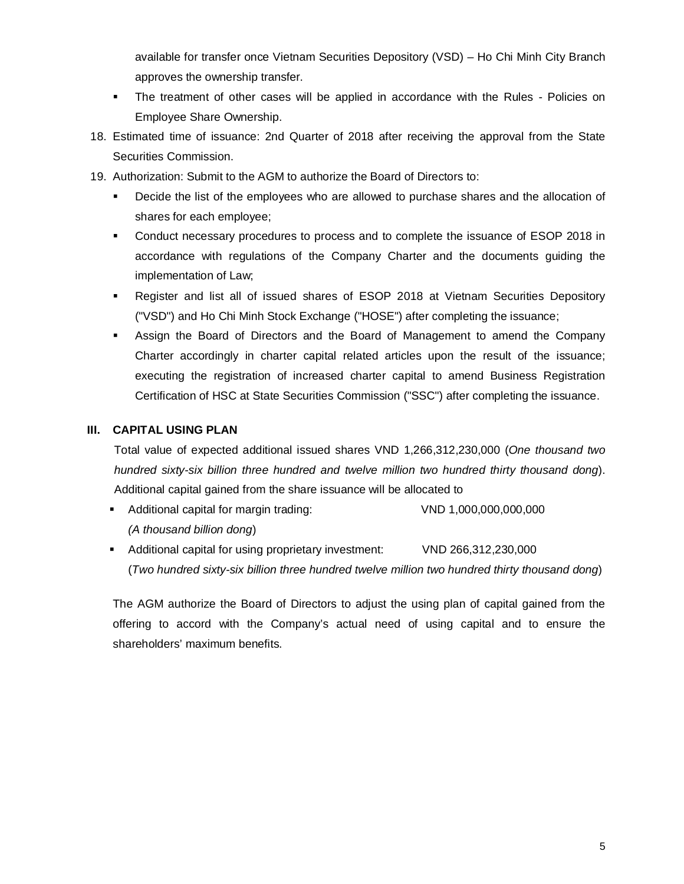available for transfer once Vietnam Securities Depository (VSD) – Ho Chi Minh City Branch approves the ownership transfer.

- The treatment of other cases will be applied in accordance with the Rules Policies on Employee Share Ownership.
- 18. Estimated time of issuance: 2nd Quarter of 2018 after receiving the approval from the State Securities Commission.
- 19. Authorization: Submit to the AGM to authorize the Board of Directors to:
	- **•** Decide the list of the employees who are allowed to purchase shares and the allocation of shares for each employee;
	- Conduct necessary procedures to process and to complete the issuance of ESOP 2018 in accordance with regulations of the Company Charter and the documents guiding the implementation of Law;
	- Register and list all of issued shares of ESOP 2018 at Vietnam Securities Depository ("VSD") and Ho Chi Minh Stock Exchange ("HOSE") after completing the issuance;
	- Assign the Board of Directors and the Board of Management to amend the Company Charter accordingly in charter capital related articles upon the result of the issuance; executing the registration of increased charter capital to amend Business Registration Certification of HSC at State Securities Commission ("SSC") after completing the issuance.

## **III. CAPITAL USING PLAN**

Total value of expected additional issued shares VND 1,266,312,230,000 (*One thousand two hundred sixty-six billion three hundred and twelve million two hundred thirty thousand dong*). Additional capital gained from the share issuance will be allocated to

- Additional capital for margin trading: VND 1,000,000,000,000 *(A thousand billion dong*)
- Additional capital for using proprietary investment: VND 266,312,230,000 (*Two hundred sixty-six billion three hundred twelve million two hundred thirty thousand dong*)

The AGM authorize the Board of Directors to adjust the using plan of capital gained from the offering to accord with the Company's actual need of using capital and to ensure the shareholders' maximum benefits.